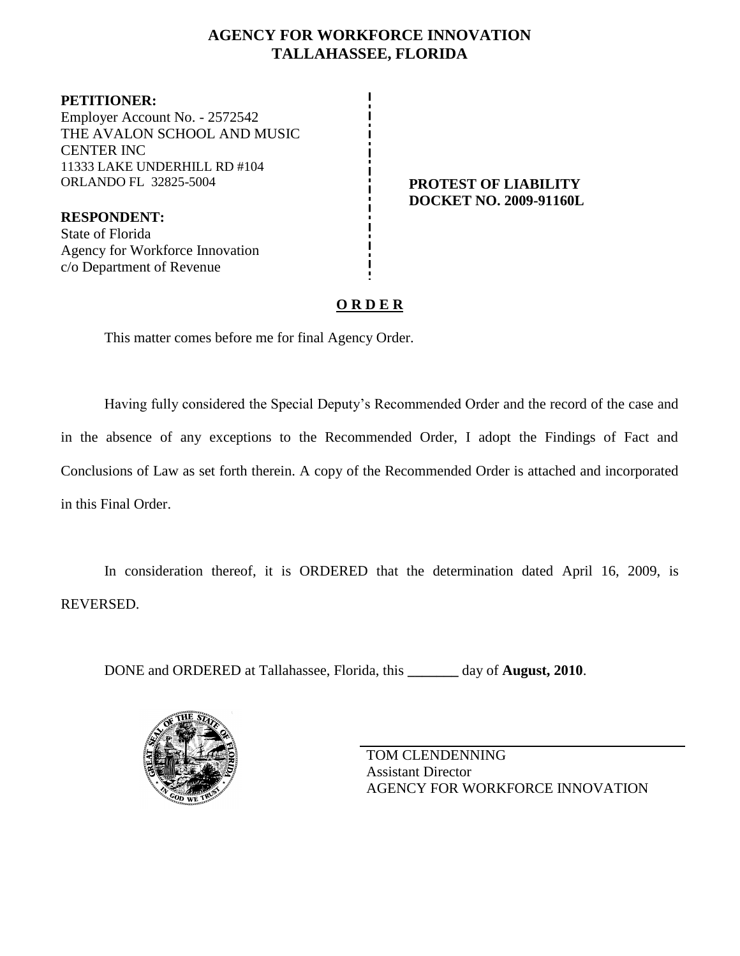# **AGENCY FOR WORKFORCE INNOVATION TALLAHASSEE, FLORIDA**

**PETITIONER:** Employer Account No. - 2572542 THE AVALON SCHOOL AND MUSIC CENTER INC 11333 LAKE UNDERHILL RD #104 ORLANDO FL 32825-5004 **PROTEST OF LIABILITY**

**RESPONDENT:** State of Florida Agency for Workforce Innovation c/o Department of Revenue

# **DOCKET NO. 2009-91160L**

# **O R D E R**

This matter comes before me for final Agency Order.

Having fully considered the Special Deputy's Recommended Order and the record of the case and in the absence of any exceptions to the Recommended Order, I adopt the Findings of Fact and Conclusions of Law as set forth therein. A copy of the Recommended Order is attached and incorporated in this Final Order.

In consideration thereof, it is ORDERED that the determination dated April 16, 2009, is REVERSED.

DONE and ORDERED at Tallahassee, Florida, this **\_\_\_\_\_\_\_** day of **August, 2010**.



TOM CLENDENNING Assistant Director AGENCY FOR WORKFORCE INNOVATION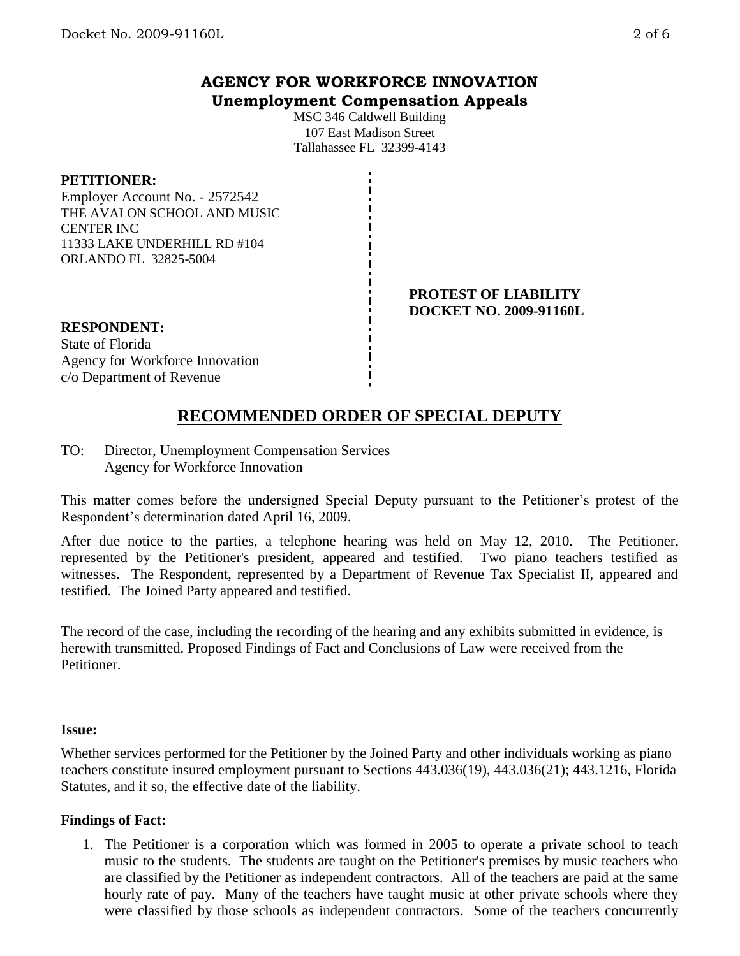# **AGENCY FOR WORKFORCE INNOVATION Unemployment Compensation Appeals**

MSC 346 Caldwell Building 107 East Madison Street Tallahassee FL 32399-4143

#### **PETITIONER:**

Employer Account No. - 2572542 THE AVALON SCHOOL AND MUSIC CENTER INC 11333 LAKE UNDERHILL RD #104 ORLANDO FL 32825-5004

#### **PROTEST OF LIABILITY DOCKET NO. 2009-91160L**

# **RESPONDENT:**

State of Florida Agency for Workforce Innovation c/o Department of Revenue

# **RECOMMENDED ORDER OF SPECIAL DEPUTY**

TO: Director, Unemployment Compensation Services Agency for Workforce Innovation

This matter comes before the undersigned Special Deputy pursuant to the Petitioner's protest of the Respondent's determination dated April 16, 2009.

After due notice to the parties, a telephone hearing was held on May 12, 2010. The Petitioner, represented by the Petitioner's president, appeared and testified. Two piano teachers testified as witnesses. The Respondent, represented by a Department of Revenue Tax Specialist II, appeared and testified. The Joined Party appeared and testified.

The record of the case, including the recording of the hearing and any exhibits submitted in evidence, is herewith transmitted. Proposed Findings of Fact and Conclusions of Law were received from the Petitioner.

#### **Issue:**

Whether services performed for the Petitioner by the Joined Party and other individuals working as piano teachers constitute insured employment pursuant to Sections 443.036(19), 443.036(21); 443.1216, Florida Statutes, and if so, the effective date of the liability.

### **Findings of Fact:**

1. The Petitioner is a corporation which was formed in 2005 to operate a private school to teach music to the students. The students are taught on the Petitioner's premises by music teachers who are classified by the Petitioner as independent contractors. All of the teachers are paid at the same hourly rate of pay. Many of the teachers have taught music at other private schools where they were classified by those schools as independent contractors. Some of the teachers concurrently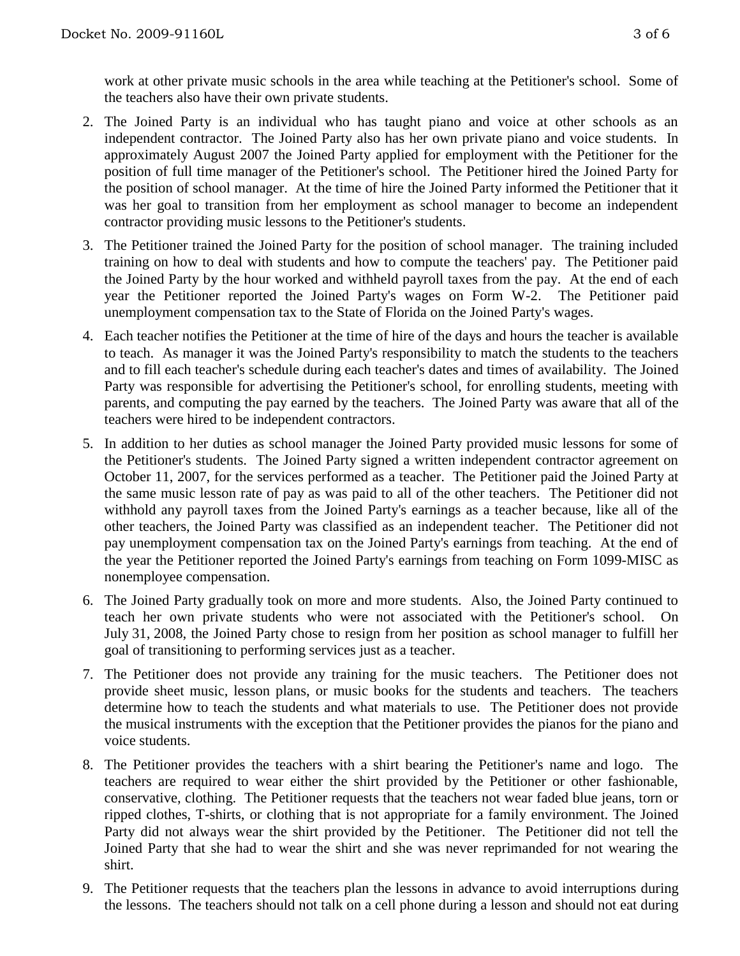work at other private music schools in the area while teaching at the Petitioner's school. Some of the teachers also have their own private students.

- 2. The Joined Party is an individual who has taught piano and voice at other schools as an independent contractor. The Joined Party also has her own private piano and voice students. In approximately August 2007 the Joined Party applied for employment with the Petitioner for the position of full time manager of the Petitioner's school. The Petitioner hired the Joined Party for the position of school manager. At the time of hire the Joined Party informed the Petitioner that it was her goal to transition from her employment as school manager to become an independent contractor providing music lessons to the Petitioner's students.
- 3. The Petitioner trained the Joined Party for the position of school manager. The training included training on how to deal with students and how to compute the teachers' pay. The Petitioner paid the Joined Party by the hour worked and withheld payroll taxes from the pay. At the end of each year the Petitioner reported the Joined Party's wages on Form W-2. The Petitioner paid unemployment compensation tax to the State of Florida on the Joined Party's wages.
- 4. Each teacher notifies the Petitioner at the time of hire of the days and hours the teacher is available to teach. As manager it was the Joined Party's responsibility to match the students to the teachers and to fill each teacher's schedule during each teacher's dates and times of availability. The Joined Party was responsible for advertising the Petitioner's school, for enrolling students, meeting with parents, and computing the pay earned by the teachers. The Joined Party was aware that all of the teachers were hired to be independent contractors.
- 5. In addition to her duties as school manager the Joined Party provided music lessons for some of the Petitioner's students. The Joined Party signed a written independent contractor agreement on October 11, 2007, for the services performed as a teacher. The Petitioner paid the Joined Party at the same music lesson rate of pay as was paid to all of the other teachers. The Petitioner did not withhold any payroll taxes from the Joined Party's earnings as a teacher because, like all of the other teachers, the Joined Party was classified as an independent teacher. The Petitioner did not pay unemployment compensation tax on the Joined Party's earnings from teaching. At the end of the year the Petitioner reported the Joined Party's earnings from teaching on Form 1099-MISC as nonemployee compensation.
- 6. The Joined Party gradually took on more and more students. Also, the Joined Party continued to teach her own private students who were not associated with the Petitioner's school. On July 31, 2008, the Joined Party chose to resign from her position as school manager to fulfill her goal of transitioning to performing services just as a teacher.
- 7. The Petitioner does not provide any training for the music teachers. The Petitioner does not provide sheet music, lesson plans, or music books for the students and teachers. The teachers determine how to teach the students and what materials to use. The Petitioner does not provide the musical instruments with the exception that the Petitioner provides the pianos for the piano and voice students.
- 8. The Petitioner provides the teachers with a shirt bearing the Petitioner's name and logo. The teachers are required to wear either the shirt provided by the Petitioner or other fashionable, conservative, clothing. The Petitioner requests that the teachers not wear faded blue jeans, torn or ripped clothes, T-shirts, or clothing that is not appropriate for a family environment. The Joined Party did not always wear the shirt provided by the Petitioner. The Petitioner did not tell the Joined Party that she had to wear the shirt and she was never reprimanded for not wearing the shirt.
- 9. The Petitioner requests that the teachers plan the lessons in advance to avoid interruptions during the lessons. The teachers should not talk on a cell phone during a lesson and should not eat during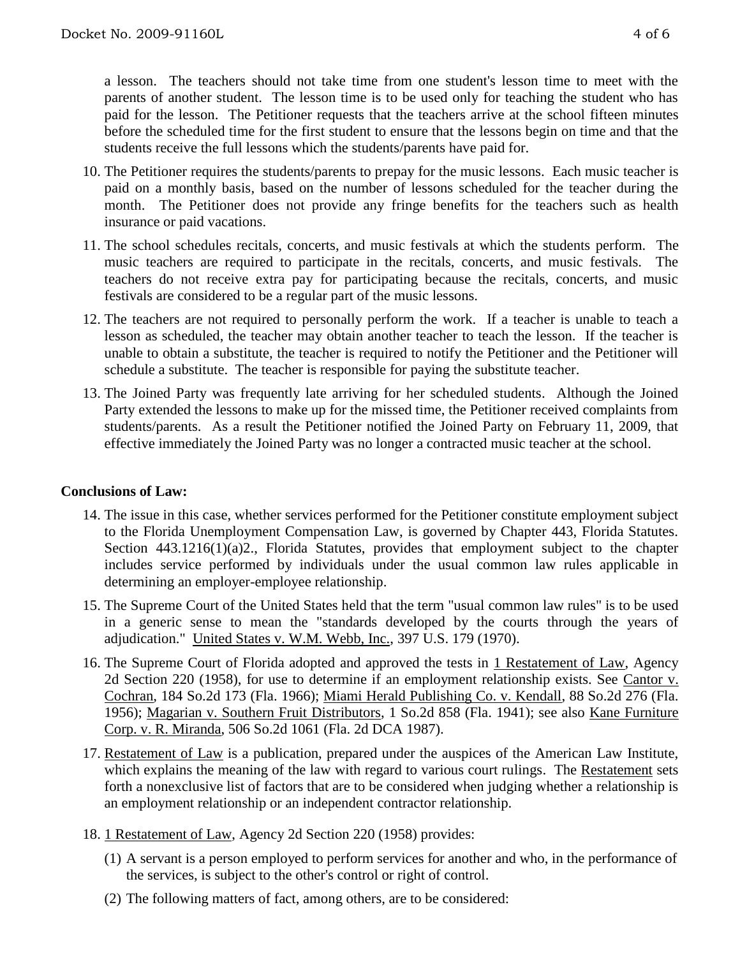a lesson. The teachers should not take time from one student's lesson time to meet with the parents of another student. The lesson time is to be used only for teaching the student who has paid for the lesson. The Petitioner requests that the teachers arrive at the school fifteen minutes before the scheduled time for the first student to ensure that the lessons begin on time and that the students receive the full lessons which the students/parents have paid for.

- 10. The Petitioner requires the students/parents to prepay for the music lessons. Each music teacher is paid on a monthly basis, based on the number of lessons scheduled for the teacher during the month. The Petitioner does not provide any fringe benefits for the teachers such as health insurance or paid vacations.
- 11. The school schedules recitals, concerts, and music festivals at which the students perform. The music teachers are required to participate in the recitals, concerts, and music festivals. The teachers do not receive extra pay for participating because the recitals, concerts, and music festivals are considered to be a regular part of the music lessons.
- 12. The teachers are not required to personally perform the work. If a teacher is unable to teach a lesson as scheduled, the teacher may obtain another teacher to teach the lesson. If the teacher is unable to obtain a substitute, the teacher is required to notify the Petitioner and the Petitioner will schedule a substitute. The teacher is responsible for paying the substitute teacher.
- 13. The Joined Party was frequently late arriving for her scheduled students. Although the Joined Party extended the lessons to make up for the missed time, the Petitioner received complaints from students/parents. As a result the Petitioner notified the Joined Party on February 11, 2009, that effective immediately the Joined Party was no longer a contracted music teacher at the school.

### **Conclusions of Law:**

- 14. The issue in this case, whether services performed for the Petitioner constitute employment subject to the Florida Unemployment Compensation Law, is governed by Chapter 443, Florida Statutes. Section 443.1216(1)(a)2., Florida Statutes, provides that employment subject to the chapter includes service performed by individuals under the usual common law rules applicable in determining an employer-employee relationship.
- 15. The Supreme Court of the United States held that the term "usual common law rules" is to be used in a generic sense to mean the "standards developed by the courts through the years of adjudication." United States v. W.M. Webb, Inc., 397 U.S. 179 (1970).
- 16. The Supreme Court of Florida adopted and approved the tests in 1 Restatement of Law, Agency 2d Section 220 (1958), for use to determine if an employment relationship exists. See Cantor v. Cochran, 184 So.2d 173 (Fla. 1966); Miami Herald Publishing Co. v. Kendall, 88 So.2d 276 (Fla. 1956); Magarian v. Southern Fruit Distributors, 1 So.2d 858 (Fla. 1941); see also Kane Furniture Corp. v. R. Miranda, 506 So.2d 1061 (Fla. 2d DCA 1987).
- 17. Restatement of Law is a publication, prepared under the auspices of the American Law Institute, which explains the meaning of the law with regard to various court rulings. The Restatement sets forth a nonexclusive list of factors that are to be considered when judging whether a relationship is an employment relationship or an independent contractor relationship.
- 18. 1 Restatement of Law, Agency 2d Section 220 (1958) provides:
	- (1) A servant is a person employed to perform services for another and who, in the performance of the services, is subject to the other's control or right of control.
	- (2) The following matters of fact, among others, are to be considered: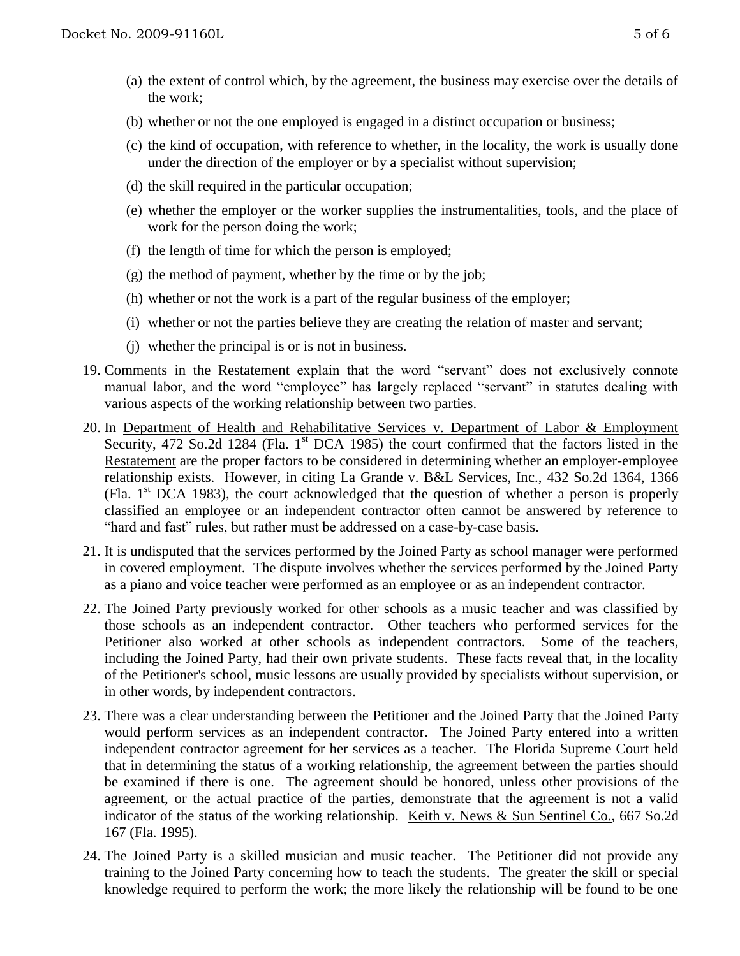- (a) the extent of control which, by the agreement, the business may exercise over the details of the work;
- (b) whether or not the one employed is engaged in a distinct occupation or business;
- (c) the kind of occupation, with reference to whether, in the locality, the work is usually done under the direction of the employer or by a specialist without supervision;
- (d) the skill required in the particular occupation;
- (e) whether the employer or the worker supplies the instrumentalities, tools, and the place of work for the person doing the work;
- (f) the length of time for which the person is employed;
- (g) the method of payment, whether by the time or by the job;
- (h) whether or not the work is a part of the regular business of the employer;
- (i) whether or not the parties believe they are creating the relation of master and servant;
- (j) whether the principal is or is not in business.
- 19. Comments in the Restatement explain that the word "servant" does not exclusively connote manual labor, and the word "employee" has largely replaced "servant" in statutes dealing with various aspects of the working relationship between two parties.
- 20. In Department of Health and Rehabilitative Services v. Department of Labor & Employment Security, 472 So.2d 1284 (Fla. 1<sup>st</sup> DCA 1985) the court confirmed that the factors listed in the Restatement are the proper factors to be considered in determining whether an employer-employee relationship exists. However, in citing La Grande v. B&L Services, Inc., 432 So.2d 1364, 1366 (Fla.  $1<sup>st</sup>$  DCA 1983), the court acknowledged that the question of whether a person is properly classified an employee or an independent contractor often cannot be answered by reference to "hard and fast" rules, but rather must be addressed on a case-by-case basis.
- 21. It is undisputed that the services performed by the Joined Party as school manager were performed in covered employment. The dispute involves whether the services performed by the Joined Party as a piano and voice teacher were performed as an employee or as an independent contractor.
- 22. The Joined Party previously worked for other schools as a music teacher and was classified by those schools as an independent contractor. Other teachers who performed services for the Petitioner also worked at other schools as independent contractors. Some of the teachers, including the Joined Party, had their own private students. These facts reveal that, in the locality of the Petitioner's school, music lessons are usually provided by specialists without supervision, or in other words, by independent contractors.
- 23. There was a clear understanding between the Petitioner and the Joined Party that the Joined Party would perform services as an independent contractor. The Joined Party entered into a written independent contractor agreement for her services as a teacher*.* The Florida Supreme Court held that in determining the status of a working relationship, the agreement between the parties should be examined if there is one. The agreement should be honored, unless other provisions of the agreement, or the actual practice of the parties, demonstrate that the agreement is not a valid indicator of the status of the working relationship. Keith v. News & Sun Sentinel Co., 667 So.2d 167 (Fla. 1995).
- 24. The Joined Party is a skilled musician and music teacher. The Petitioner did not provide any training to the Joined Party concerning how to teach the students. The greater the skill or special knowledge required to perform the work; the more likely the relationship will be found to be one